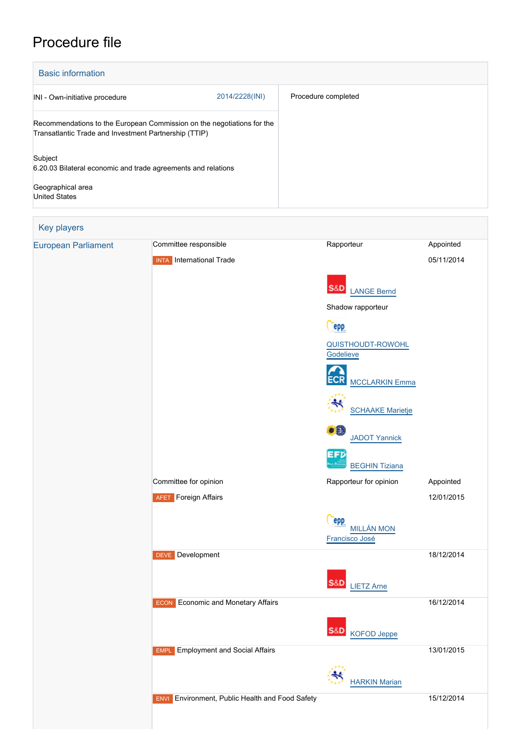# Procedure file

| <b>Basic information</b>                                                                                                        |                |                     |  |
|---------------------------------------------------------------------------------------------------------------------------------|----------------|---------------------|--|
| INI - Own-initiative procedure                                                                                                  | 2014/2228(INI) | Procedure completed |  |
| Recommendations to the European Commission on the negotiations for the<br>Transatlantic Trade and Investment Partnership (TTIP) |                |                     |  |
| Subject                                                                                                                         |                |                     |  |
| 6.20.03 Bilateral economic and trade agreements and relations                                                                   |                |                     |  |
| Geographical area                                                                                                               |                |                     |  |
| <b>United States</b>                                                                                                            |                |                     |  |

| Key players                |                                                           |                                            |            |
|----------------------------|-----------------------------------------------------------|--------------------------------------------|------------|
| <b>European Parliament</b> | Committee responsible                                     | Rapporteur                                 | Appointed  |
|                            | <b>INTA</b> International Trade                           | <b>S&amp;D</b><br><b>LANGE Bernd</b>       | 05/11/2014 |
|                            |                                                           | Shadow rapporteur                          |            |
|                            |                                                           | epp                                        |            |
|                            |                                                           | <b>QUISTHOUDT-ROWOHL</b><br>Godelieve      |            |
|                            |                                                           | <b>MCCLARKIN Emma</b>                      |            |
|                            |                                                           | ₩<br><b>SCHAAKE Marietje</b>               |            |
|                            |                                                           | .0<br><b>JADOT Yannick</b>                 |            |
|                            |                                                           | EFD<br><b>BEGHIN Tiziana</b>               |            |
|                            | Committee for opinion                                     | Rapporteur for opinion                     | Appointed  |
|                            | <b>AFET</b> Foreign Affairs                               |                                            | 12/01/2015 |
|                            |                                                           | epp<br><b>MILLÁN MON</b><br>Francisco José |            |
|                            | Development<br><b>DEVE</b>                                | S&D<br><b>LIETZ Arne</b>                   | 18/12/2014 |
|                            |                                                           |                                            |            |
|                            | <b>ECON</b> Economic and Monetary Affairs                 |                                            | 16/12/2014 |
|                            |                                                           | S&D KOFOD Jeppe                            |            |
|                            | <b>Employment and Social Affairs</b><br><b>EMPL</b>       |                                            | 13/01/2015 |
|                            |                                                           | <b>HARKIN Marian</b>                       |            |
|                            | Environment, Public Health and Food Safety<br><b>ENVI</b> |                                            | 15/12/2014 |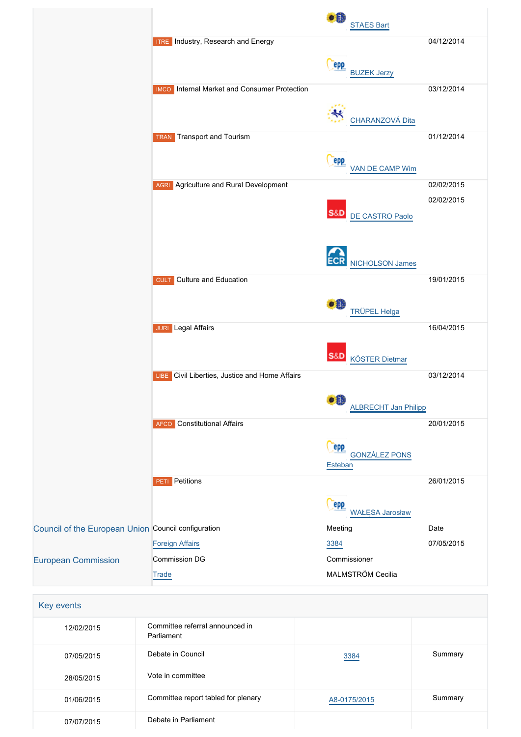|                                                     |                                                     | DË.<br><b>STAES Bart</b>            |
|-----------------------------------------------------|-----------------------------------------------------|-------------------------------------|
|                                                     | <b>ITRE</b> Industry, Research and Energy           | 04/12/2014                          |
|                                                     |                                                     | epp                                 |
|                                                     |                                                     | <b>BUZEK Jerzy</b>                  |
|                                                     | <b>IMCO</b> Internal Market and Consumer Protection | 03/12/2014                          |
|                                                     |                                                     |                                     |
|                                                     |                                                     | CHARANZOVÁ Dita                     |
|                                                     | <b>Transport and Tourism</b><br><b>TRAN</b>         | 01/12/2014                          |
|                                                     |                                                     | epp<br><b>VAN DE CAMP Wim</b>       |
|                                                     | <b>AGRI</b> Agriculture and Rural Development       | 02/02/2015                          |
|                                                     |                                                     | 02/02/2015                          |
|                                                     |                                                     | <b>S&amp;D</b><br>DE CASTRO Paolo   |
|                                                     |                                                     |                                     |
|                                                     |                                                     |                                     |
|                                                     |                                                     | NICHOLSON James                     |
|                                                     | <b>CULT</b> Culture and Education                   | 19/01/2015                          |
|                                                     |                                                     |                                     |
|                                                     |                                                     | $\bullet$ $\bullet$<br>TRÜPEL Helga |
|                                                     | <b>JURI</b> Legal Affairs                           | 16/04/2015                          |
|                                                     |                                                     |                                     |
|                                                     |                                                     | S&D<br><b>KÖSTER Dietmar</b>        |
|                                                     | Civil Liberties, Justice and Home Affairs<br>LIBE   | 03/12/2014                          |
|                                                     |                                                     | <b>.0</b>                           |
|                                                     |                                                     | <b>ALBRECHT Jan Philipp</b>         |
|                                                     | <b>Constitutional Affairs</b><br>AFCO               | 20/01/2015                          |
|                                                     |                                                     | epp                                 |
|                                                     |                                                     | <b>GONZÁLEZ PONS</b><br>Esteban     |
|                                                     | Petitions<br>PETI                                   | 26/01/2015                          |
|                                                     |                                                     |                                     |
|                                                     |                                                     | epp<br><b>WAŁĘSA Jarosław</b>       |
| Council of the European Union Council configuration |                                                     | Meeting<br>Date                     |
|                                                     | <b>Foreign Affairs</b>                              | 07/05/2015<br>3384                  |
| <b>European Commission</b>                          | Commission DG                                       | Commissioner                        |
|                                                     | Trade                                               | MALMSTRÖM Cecilia                   |
|                                                     |                                                     |                                     |
| Key events                                          |                                                     |                                     |
| 12/02/2015                                          | Committee referral announced in<br>Parliament       |                                     |

| 12/02/2015 | Committee referral announced in<br>Parliament |              |         |
|------------|-----------------------------------------------|--------------|---------|
| 07/05/2015 | Debate in Council                             | 3384         | Summary |
| 28/05/2015 | Vote in committee                             |              |         |
| 01/06/2015 | Committee report tabled for plenary           | A8-0175/2015 | Summary |
| 07/07/2015 | Debate in Parliament                          |              |         |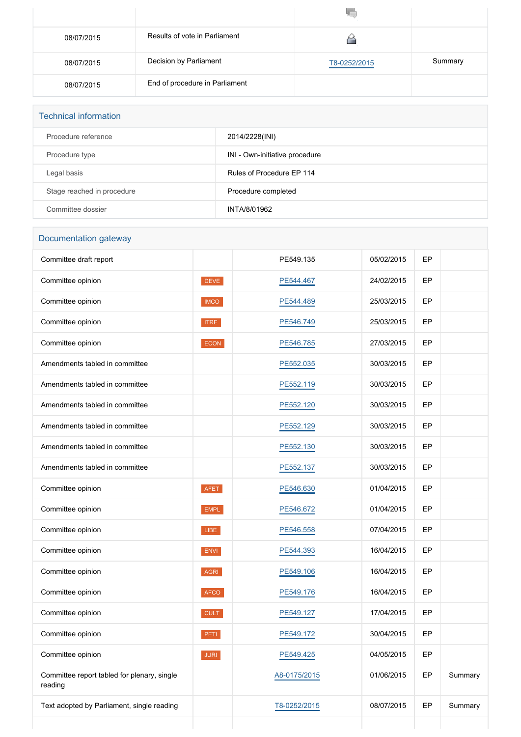| 08/07/2015 | Results of vote in Parliament  |              |         |
|------------|--------------------------------|--------------|---------|
| 08/07/2015 | Decision by Parliament         | T8-0252/2015 | Summary |
| 08/07/2015 | End of procedure in Parliament |              |         |

| <b>Technical information</b> |                                |  |  |
|------------------------------|--------------------------------|--|--|
| Procedure reference          | 2014/2228(INI)                 |  |  |
| Procedure type               | INI - Own-initiative procedure |  |  |
| Legal basis                  | Rules of Procedure EP 114      |  |  |
| Stage reached in procedure   | Procedure completed            |  |  |
| Committee dossier            | INTA/8/01962                   |  |  |

## Documentation gateway

| Committee draft report                                 |             | PE549.135    | 05/02/2015 | EP |         |
|--------------------------------------------------------|-------------|--------------|------------|----|---------|
| Committee opinion                                      | <b>DEVE</b> | PE544.467    | 24/02/2015 | EP |         |
| Committee opinion                                      | <b>IMCO</b> | PE544.489    | 25/03/2015 | EP |         |
| Committee opinion                                      | <b>ITRE</b> | PE546.749    | 25/03/2015 | EP |         |
| Committee opinion                                      | <b>ECON</b> | PE546.785    | 27/03/2015 | EP |         |
| Amendments tabled in committee                         |             | PE552.035    | 30/03/2015 | EP |         |
| Amendments tabled in committee                         |             | PE552.119    | 30/03/2015 | EP |         |
| Amendments tabled in committee                         |             | PE552.120    | 30/03/2015 | EP |         |
| Amendments tabled in committee                         |             | PE552.129    | 30/03/2015 | EP |         |
| Amendments tabled in committee                         |             | PE552.130    | 30/03/2015 | EP |         |
| Amendments tabled in committee                         |             | PE552.137    | 30/03/2015 | EP |         |
| Committee opinion                                      | <b>AFET</b> | PE546.630    | 01/04/2015 | EP |         |
| Committee opinion                                      | <b>EMPL</b> | PE546.672    | 01/04/2015 | EP |         |
| Committee opinion                                      | LIBE        | PE546.558    | 07/04/2015 | EP |         |
| Committee opinion                                      | ENVI        | PE544.393    | 16/04/2015 | EP |         |
| Committee opinion                                      | <b>AGRI</b> | PE549.106    | 16/04/2015 | EP |         |
| Committee opinion                                      | <b>AFCO</b> | PE549.176    | 16/04/2015 | EP |         |
| Committee opinion                                      | <b>CULT</b> | PE549.127    | 17/04/2015 | EP |         |
| Committee opinion                                      | PETI        | PE549.172    | 30/04/2015 | EP |         |
| Committee opinion                                      | <b>JURI</b> | PE549.425    | 04/05/2015 | EP |         |
| Committee report tabled for plenary, single<br>reading |             | A8-0175/2015 | 01/06/2015 | EP | Summary |
| Text adopted by Parliament, single reading             |             | T8-0252/2015 | 08/07/2015 | EP | Summary |
|                                                        |             |              |            |    |         |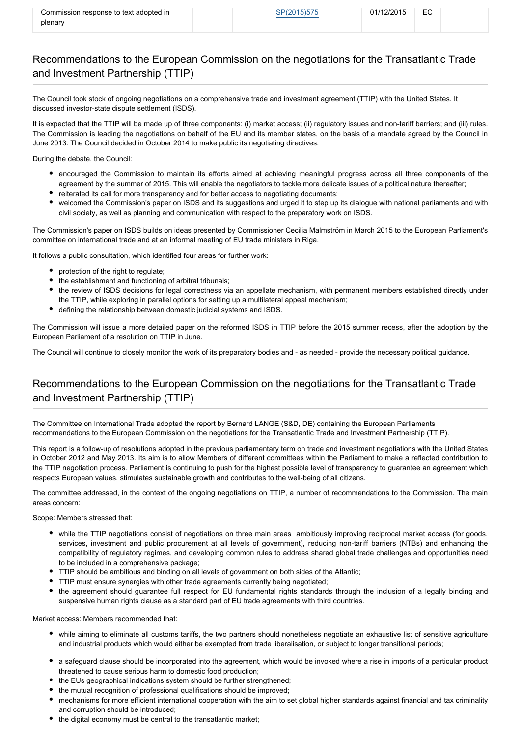# Recommendations to the European Commission on the negotiations for the Transatlantic Trade and Investment Partnership (TTIP)

The Council took stock of ongoing negotiations on a comprehensive trade and investment agreement (TTIP) with the United States. It discussed investor-state dispute settlement (ISDS).

It is expected that the TTIP will be made up of three components: (i) market access; (ii) regulatory issues and non-tariff barriers; and (iii) rules. The Commission is leading the negotiations on behalf of the EU and its member states, on the basis of a mandate agreed by the Council in June 2013. The Council decided in October 2014 to make public its negotiating directives.

During the debate, the Council:

- encouraged the Commission to maintain its efforts aimed at achieving meaningful progress across all three components of the agreement by the summer of 2015. This will enable the negotiators to tackle more delicate issues of a political nature thereafter;
- reiterated its call for more transparency and for better access to negotiating documents;
- welcomed the Commission's paper on ISDS and its suggestions and urged it to step up its dialogue with national parliaments and with civil society, as well as planning and communication with respect to the preparatory work on ISDS.

The Commission's paper on ISDS builds on ideas presented by Commissioner Cecilia Malmström in March 2015 to the European Parliament's committee on international trade and at an informal meeting of EU trade ministers in Riga.

It follows a public consultation, which identified four areas for further work:

- protection of the right to regulate;
- the establishment and functioning of arbitral tribunals;
- the review of ISDS decisions for legal correctness via an appellate mechanism, with permanent members established directly under the TTIP, while exploring in parallel options for setting up a multilateral appeal mechanism;
- defining the relationship between domestic judicial systems and ISDS.

The Commission will issue a more detailed paper on the reformed ISDS in TTIP before the 2015 summer recess, after the adoption by the European Parliament of a resolution on TTIP in June.

The Council will continue to closely monitor the work of its preparatory bodies and - as needed - provide the necessary political guidance.

### Recommendations to the European Commission on the negotiations for the Transatlantic Trade and Investment Partnership (TTIP)

The Committee on International Trade adopted the report by Bernard LANGE (S&D, DE) containing the European Parliaments recommendations to the European Commission on the negotiations for the Transatlantic Trade and Investment Partnership (TTIP).

This report is a follow-up of resolutions adopted in the previous parliamentary term on trade and investment negotiations with the United States in October 2012 and May 2013. Its aim is to allow Members of different committees within the Parliament to make a reflected contribution to the TTIP negotiation process. Parliament is continuing to push for the highest possible level of transparency to guarantee an agreement which respects European values, stimulates sustainable growth and contributes to the well-being of all citizens.

The committee addressed, in the context of the ongoing negotiations on TTIP, a number of recommendations to the Commission. The main areas concern:

Scope: Members stressed that:

- while the TTIP negotiations consist of negotiations on three main areas ambitiously improving reciprocal market access (for goods, services, investment and public procurement at all levels of government), reducing non-tariff barriers (NTBs) and enhancing the compatibility of regulatory regimes, and developing common rules to address shared global trade challenges and opportunities need to be included in a comprehensive package;
- TTIP should be ambitious and binding on all levels of government on both sides of the Atlantic;
- TTIP must ensure synergies with other trade agreements currently being negotiated;
- the agreement should guarantee full respect for EU fundamental rights standards through the inclusion of a legally binding and suspensive human rights clause as a standard part of EU trade agreements with third countries.

Market access: Members recommended that:

- while aiming to eliminate all customs tariffs, the two partners should nonetheless negotiate an exhaustive list of sensitive agriculture and industrial products which would either be exempted from trade liberalisation, or subject to longer transitional periods;
- a safeguard clause should be incorporated into the agreement, which would be invoked where a rise in imports of a particular product threatened to cause serious harm to domestic food production;
- the EUs geographical indications system should be further strengthened:
- the mutual recognition of professional qualifications should be improved;
- mechanisms for more efficient international cooperation with the aim to set global higher standards against financial and tax criminality and corruption should be introduced;
- the digital economy must be central to the transatlantic market;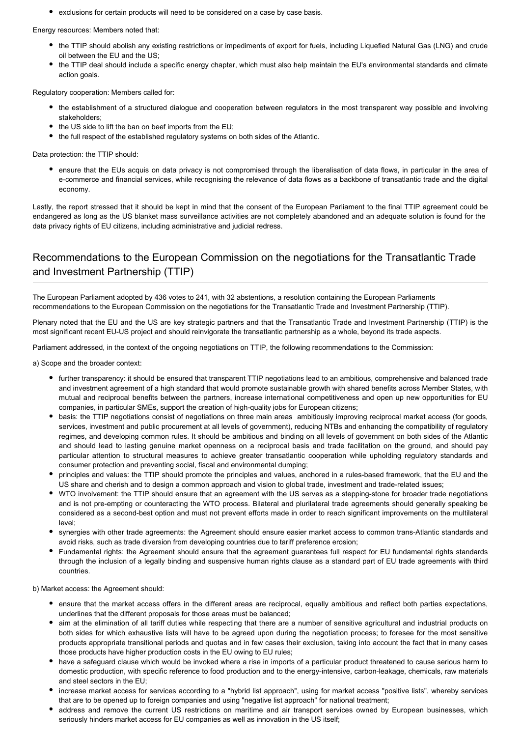exclusions for certain products will need to be considered on a case by case basis.

Energy resources: Members noted that:

- the TTIP should abolish any existing restrictions or impediments of export for fuels, including Liquefied Natural Gas (LNG) and crude oil between the EU and the US;
- the TTIP deal should include a specific energy chapter, which must also help maintain the EU's environmental standards and climate action goals.

Regulatory cooperation: Members called for:

- the establishment of a structured dialogue and cooperation between regulators in the most transparent way possible and involving stakeholders;
- the US side to lift the ban on beef imports from the EU;
- the full respect of the established regulatory systems on both sides of the Atlantic.

Data protection: the TTIP should:

• ensure that the EUs acquis on data privacy is not compromised through the liberalisation of data flows, in particular in the area of e-commerce and financial services, while recognising the relevance of data flows as a backbone of transatlantic trade and the digital economy.

Lastly, the report stressed that it should be kept in mind that the consent of the European Parliament to the final TTIP agreement could be endangered as long as the US blanket mass surveillance activities are not completely abandoned and an adequate solution is found for the data privacy rights of EU citizens, including administrative and judicial redress.

### Recommendations to the European Commission on the negotiations for the Transatlantic Trade and Investment Partnership (TTIP)

The European Parliament adopted by 436 votes to 241, with 32 abstentions, a resolution containing the European Parliaments recommendations to the European Commission on the negotiations for the Transatlantic Trade and Investment Partnership (TTIP).

Plenary noted that the EU and the US are key strategic partners and that the Transatlantic Trade and Investment Partnership (TTIP) is the most significant recent EU-US project and should reinvigorate the transatlantic partnership as a whole, beyond its trade aspects.

Parliament addressed, in the context of the ongoing negotiations on TTIP, the following recommendations to the Commission:

a) Scope and the broader context:

- further transparency: it should be ensured that transparent TTIP negotiations lead to an ambitious, comprehensive and balanced trade and investment agreement of a high standard that would promote sustainable growth with shared benefits across Member States, with mutual and reciprocal benefits between the partners, increase international competitiveness and open up new opportunities for EU companies, in particular SMEs, support the creation of high-quality jobs for European citizens;
- basis: the TTIP negotiations consist of negotiations on three main areas ambitiously improving reciprocal market access (for goods, services, investment and public procurement at all levels of government), reducing NTBs and enhancing the compatibility of regulatory regimes, and developing common rules. It should be ambitious and binding on all levels of government on both sides of the Atlantic and should lead to lasting genuine market openness on a reciprocal basis and trade facilitation on the ground, and should pay particular attention to structural measures to achieve greater transatlantic cooperation while upholding regulatory standards and consumer protection and preventing social, fiscal and environmental dumping;
- principles and values: the TTIP should promote the principles and values, anchored in a rules-based framework, that the EU and the US share and cherish and to design a common approach and vision to global trade, investment and trade-related issues;
- WTO involvement: the TTIP should ensure that an agreement with the US serves as a stepping-stone for broader trade negotiations and is not pre-empting or counteracting the WTO process. Bilateral and plurilateral trade agreements should generally speaking be considered as a second-best option and must not prevent efforts made in order to reach significant improvements on the multilateral level;
- synergies with other trade agreements: the Agreement should ensure easier market access to common trans-Atlantic standards and avoid risks, such as trade diversion from developing countries due to tariff preference erosion;
- Fundamental rights: the Agreement should ensure that the agreement guarantees full respect for EU fundamental rights standards through the inclusion of a legally binding and suspensive human rights clause as a standard part of EU trade agreements with third countries.

b) Market access: the Agreement should:

- ensure that the market access offers in the different areas are reciprocal, equally ambitious and reflect both parties expectations, underlines that the different proposals for those areas must be balanced;
- aim at the elimination of all tariff duties while respecting that there are a number of sensitive agricultural and industrial products on both sides for which exhaustive lists will have to be agreed upon during the negotiation process; to foresee for the most sensitive products appropriate transitional periods and quotas and in few cases their exclusion, taking into account the fact that in many cases those products have higher production costs in the EU owing to EU rules;
- have a safeguard clause which would be invoked where a rise in imports of a particular product threatened to cause serious harm to domestic production, with specific reference to food production and to the energy-intensive, carbon-leakage, chemicals, raw materials and steel sectors in the EU;
- increase market access for services according to a "hybrid list approach", using for market access "positive lists", whereby services that are to be opened up to foreign companies and using "negative list approach" for national treatment;
- address and remove the current US restrictions on maritime and air transport services owned by European businesses, which seriously hinders market access for EU companies as well as innovation in the US itself;